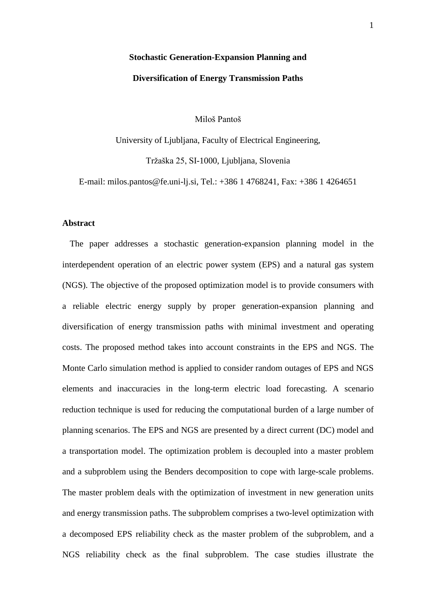# **Stochastic Generation-Expansion Planning and Diversification of Energy Transmission Paths**

Miloš Pantoš

University of Ljubljana, Faculty of Electrical Engineering, Tržaška 25, SI-1000, Ljubljana, Slovenia

E-mail: milos.pantos@fe.uni-lj.si, Tel.: +386 1 4768241, Fax: +386 1 4264651

## **Abstract**

The paper addresses a stochastic generation-expansion planning model in the interdependent operation of an electric power system (EPS) and a natural gas system (NGS). The objective of the proposed optimization model is to provide consumers with a reliable electric energy supply by proper generation-expansion planning and diversification of energy transmission paths with minimal investment and operating costs. The proposed method takes into account constraints in the EPS and NGS. The Monte Carlo simulation method is applied to consider random outages of EPS and NGS elements and inaccuracies in the long-term electric load forecasting. A scenario reduction technique is used for reducing the computational burden of a large number of planning scenarios. The EPS and NGS are presented by a direct current (DC) model and a transportation model. The optimization problem is decoupled into a master problem and a subproblem using the Benders decomposition to cope with large-scale problems. The master problem deals with the optimization of investment in new generation units and energy transmission paths. The subproblem comprises a two-level optimization with a decomposed EPS reliability check as the master problem of the subproblem, and a NGS reliability check as the final subproblem. The case studies illustrate the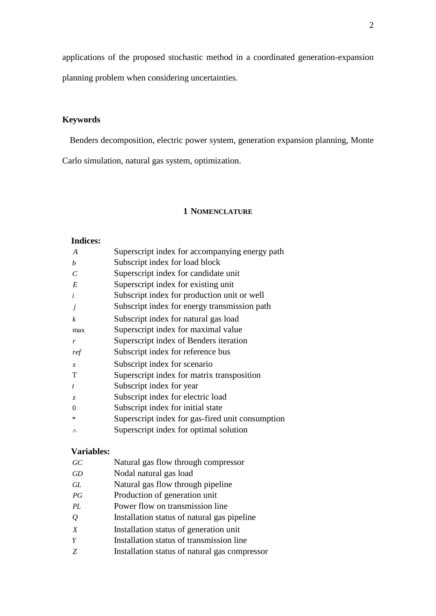applications of the proposed stochastic method in a coordinated generation-expansion planning problem when considering uncertainties.

## **Keywords**

Benders decomposition, electric power system, generation expansion planning, Monte

Carlo simulation, natural gas system, optimization.

#### **1 NOMENCLATURE**

#### **Indices:**

| A                | Superscript index for accompanying energy path   |
|------------------|--------------------------------------------------|
| h                | Subscript index for load block                   |
| C                | Superscript index for candidate unit             |
| E                | Superscript index for existing unit              |
| $\mathbf{I}$     | Subscript index for production unit or well      |
| j                | Subscript index for energy transmission path     |
| $\boldsymbol{k}$ | Subscript index for natural gas load             |
| max              | Superscript index for maximal value              |
| r                | Superscript index of Benders iteration           |
| ref              | Subscript index for reference bus                |
| $\mathcal{S}$    | Subscript index for scenario                     |
| T                | Superscript index for matrix transposition       |
| t                | Subscript index for year                         |
| Z.               | Subscript index for electric load                |
| 0                | Subscript index for initial state                |
| ∗                | Superscript index for gas-fired unit consumption |
| Λ                | Superscript index for optimal solution           |

#### **Variables:**

| GC |  |  |  | Natural gas flow through compressor |
|----|--|--|--|-------------------------------------|
|----|--|--|--|-------------------------------------|

- *GD* Nodal natural gas load
- *GL* Natural gas flow through pipeline
- *PG* Production of generation unit
- *PL* Power flow on transmission line
- *Q* Installation status of natural gas pipeline
- *X* Installation status of generation unit
- *Y* Installation status of transmission line
- *Z* Installation status of natural gas compressor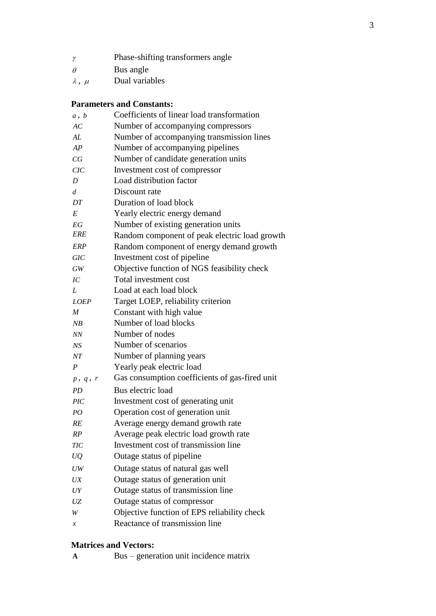| $\gamma$          | Phase-shifting transformers angle |
|-------------------|-----------------------------------|
| $\theta$          | Bus angle                         |
| $\lambda$ , $\mu$ | Dual variables                    |

## **Parameters and Constants:**

| a, b                           | Coefficients of linear load transformation     |
|--------------------------------|------------------------------------------------|
| AC                             | Number of accompanying compressors             |
| AL                             | Number of accompanying transmission lines      |
| AP                             | Number of accompanying pipelines               |
| CG                             | Number of candidate generation units           |
| CIC                            | Investment cost of compressor                  |
| D                              | Load distribution factor                       |
| d                              | Discount rate                                  |
| DT                             | Duration of load block                         |
| E                              | Yearly electric energy demand                  |
| EG                             | Number of existing generation units            |
| ERE                            | Random component of peak electric load growth  |
| <b>ERP</b>                     | Random component of energy demand growth       |
| <b>GIC</b>                     | Investment cost of pipeline                    |
| $\boldsymbol{G}\boldsymbol{W}$ | Objective function of NGS feasibility check    |
| IC                             | Total investment cost                          |
| L                              | Load at each load block                        |
| <b>LOEP</b>                    | Target LOEP, reliability criterion             |
| M                              | Constant with high value                       |
| NB                             | Number of load blocks                          |
| NN                             | Number of nodes                                |
| NS                             | Number of scenarios                            |
| NT                             | Number of planning years                       |
| $\boldsymbol{P}$               | Yearly peak electric load                      |
| p, q, r                        | Gas consumption coefficients of gas-fired unit |
| <i>PD</i>                      | Bus electric load                              |
| $\overline{PIC}$               | Investment cost of generating unit             |
| PO                             | Operation cost of generation unit              |
| RE                             | Average energy demand growth rate              |
| RP                             | Average peak electric load growth rate         |
| TIC                            | Investment cost of transmission line           |
| UQ                             | Outage status of pipeline                      |
| UW                             | Outage status of natural gas well              |
| UX                             | Outage status of generation unit               |
| UY                             | Outage status of transmission line             |
| UZ                             | Outage status of compressor                    |
| W                              | Objective function of EPS reliability check    |
| $\boldsymbol{x}$               | Reactance of transmission line                 |
|                                |                                                |

## **Matrices and Vectors:**

|  |  | Bus – generation unit incidence matrix |  |  |  |  |
|--|--|----------------------------------------|--|--|--|--|
|--|--|----------------------------------------|--|--|--|--|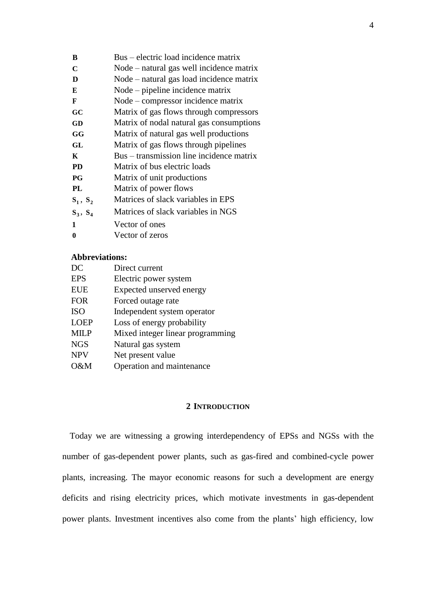| B                | Bus – electric load incidence matrix     |
|------------------|------------------------------------------|
| $\mathbf C$      | Node – natural gas well incidence matrix |
| D                | Node – natural gas load incidence matrix |
| E                | Node – pipeline incidence matrix         |
| F                | Node – compressor incidence matrix       |
| GC               | Matrix of gas flows through compressors  |
| GD               | Matrix of nodal natural gas consumptions |
| GG               | Matrix of natural gas well productions   |
| GL               | Matrix of gas flows through pipelines    |
| K                | Bus – transmission line incidence matrix |
| <b>PD</b>        | Matrix of bus electric loads             |
| $P$ G            | Matrix of unit productions               |
| PL               | Matrix of power flows                    |
| $S_1, S_2$       | Matrices of slack variables in EPS       |
| $S_3, S_4$       | Matrices of slack variables in NGS       |
| 1                | Vector of ones                           |
| $\boldsymbol{0}$ | Vector of zeros                          |

#### **Abbreviations:**

| DC          | Direct current                   |
|-------------|----------------------------------|
| <b>EPS</b>  | Electric power system            |
| <b>EUE</b>  | Expected unserved energy         |
| <b>FOR</b>  | Forced outage rate               |
| <b>ISO</b>  | Independent system operator      |
| <b>LOEP</b> | Loss of energy probability       |
| <b>MILP</b> | Mixed integer linear programming |
| <b>NGS</b>  | Natural gas system               |
| <b>NPV</b>  | Net present value                |
| O&M         | Operation and maintenance        |

## **2 INTRODUCTION**

Today we are witnessing a growing interdependency of EPSs and NGSs with the number of gas-dependent power plants, such as gas-fired and combined-cycle power plants, increasing. The mayor economic reasons for such a development are energy deficits and rising electricity prices, which motivate investments in gas-dependent power plants. Investment incentives also come from the plants' high efficiency, low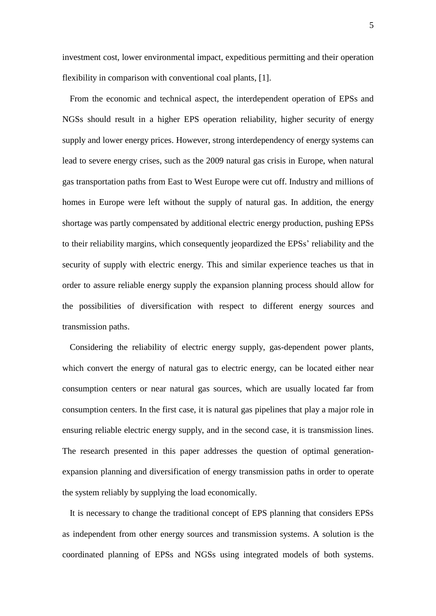investment cost, lower environmental impact, expeditious permitting and their operation flexibility in comparison with conventional coal plants, [\[1\].](#page-20-0)

From the economic and technical aspect, the interdependent operation of EPSs and NGSs should result in a higher EPS operation reliability, higher security of energy supply and lower energy prices. However, strong interdependency of energy systems can lead to severe energy crises, such as the 2009 natural gas crisis in Europe, when natural gas transportation paths from East to West Europe were cut off. Industry and millions of homes in Europe were left without the supply of natural gas. In addition, the energy shortage was partly compensated by additional electric energy production, pushing EPSs to their reliability margins, which consequently jeopardized the EPSs' reliability and the security of supply with electric energy. This and similar experience teaches us that in order to assure reliable energy supply the expansion planning process should allow for the possibilities of diversification with respect to different energy sources and transmission paths.

Considering the reliability of electric energy supply, gas-dependent power plants, which convert the energy of natural gas to electric energy, can be located either near consumption centers or near natural gas sources, which are usually located far from consumption centers. In the first case, it is natural gas pipelines that play a major role in ensuring reliable electric energy supply, and in the second case, it is transmission lines. The research presented in this paper addresses the question of optimal generationexpansion planning and diversification of energy transmission paths in order to operate the system reliably by supplying the load economically.

It is necessary to change the traditional concept of EPS planning that considers EPSs as independent from other energy sources and transmission systems. A solution is the coordinated planning of EPSs and NGSs using integrated models of both systems.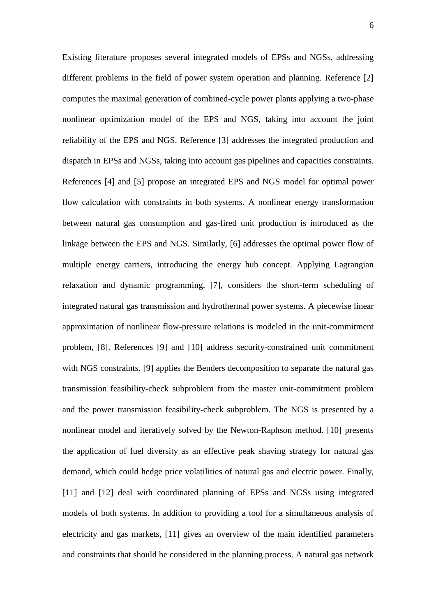Existing literature proposes several integrated models of EPSs and NGSs, addressing different problems in the field of power system operation and planning. Reference [\[2\]](#page-21-0) computes the maximal generation of combined-cycle power plants applying a two-phase nonlinear optimization model of the EPS and NGS, taking into account the joint reliability of the EPS and NGS. Reference [\[3\]](#page-21-1) addresses the integrated production and dispatch in EPSs and NGSs, taking into account gas pipelines and capacities constraints. References [\[4\]](#page-21-2) and [\[5\]](#page-21-3) propose an integrated EPS and NGS model for optimal power flow calculation with constraints in both systems. A nonlinear energy transformation between natural gas consumption and gas-fired unit production is introduced as the linkage between the EPS and NGS. Similarly, [\[6\]](#page-21-4) addresses the optimal power flow of multiple energy carriers, introducing the energy hub concept. Applying Lagrangian relaxation and dynamic programming, [\[7\],](#page-21-5) considers the short-term scheduling of integrated natural gas transmission and hydrothermal power systems. A piecewise linear approximation of nonlinear flow-pressure relations is modeled in the unit-commitment problem, [\[8\].](#page-21-6) References [\[9\]](#page-21-7) and [\[10\]](#page-22-0) address security-constrained unit commitment with NGS constraints. [\[9\]](#page-21-7) applies the Benders decomposition to separate the natural gas transmission feasibility-check subproblem from the master unit-commitment problem and the power transmission feasibility-check subproblem. The NGS is presented by a nonlinear model and iteratively solved by the Newton-Raphson method. [\[10\]](#page-22-0) presents the application of fuel diversity as an effective peak shaving strategy for natural gas demand, which could hedge price volatilities of natural gas and electric power. Finally, [\[11\]](#page-22-1) and [\[12\]](#page-22-2) deal with coordinated planning of EPSs and NGSs using integrated models of both systems. In addition to providing a tool for a simultaneous analysis of electricity and gas markets, [\[11\]](#page-22-1) gives an overview of the main identified parameters and constraints that should be considered in the planning process. A natural gas network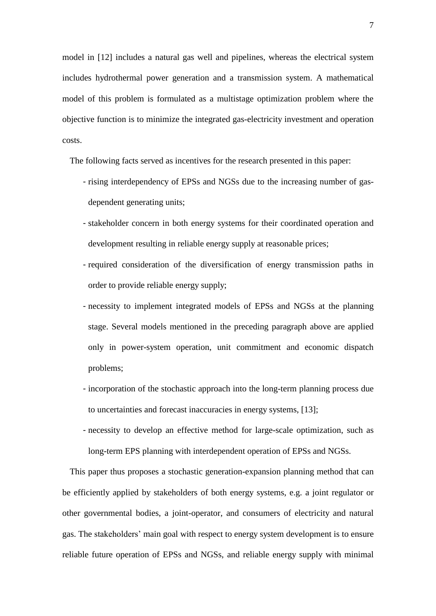model in [\[12\]](#page-22-2) includes a natural gas well and pipelines, whereas the electrical system includes hydrothermal power generation and a transmission system. A mathematical model of this problem is formulated as a multistage optimization problem where the objective function is to minimize the integrated gas-electricity investment and operation costs.

The following facts served as incentives for the research presented in this paper:

- rising interdependency of EPSs and NGSs due to the increasing number of gasdependent generating units;
- stakeholder concern in both energy systems for their coordinated operation and development resulting in reliable energy supply at reasonable prices;
- required consideration of the diversification of energy transmission paths in order to provide reliable energy supply;
- necessity to implement integrated models of EPSs and NGSs at the planning stage. Several models mentioned in the preceding paragraph above are applied only in power-system operation, unit commitment and economic dispatch problems;
- incorporation of the stochastic approach into the long-term planning process due to uncertainties and forecast inaccuracies in energy systems, [\[13\];](#page-22-3)
- necessity to develop an effective method for large-scale optimization, such as long-term EPS planning with interdependent operation of EPSs and NGSs.

This paper thus proposes a stochastic generation-expansion planning method that can be efficiently applied by stakeholders of both energy systems, e.g. a joint regulator or other governmental bodies, a joint-operator, and consumers of electricity and natural gas. The stakeholders' main goal with respect to energy system development is to ensure reliable future operation of EPSs and NGSs, and reliable energy supply with minimal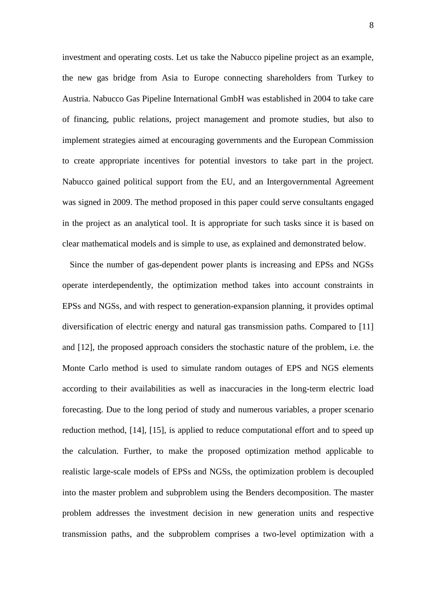investment and operating costs. Let us take the Nabucco pipeline project as an example, the new gas bridge from Asia to Europe connecting shareholders from Turkey to Austria. Nabucco Gas Pipeline International GmbH was established in 2004 to take care of financing, public relations, project management and promote studies, but also to implement strategies aimed at encouraging governments and the European Commission to create appropriate incentives for potential investors to take part in the project. Nabucco gained political support from the EU, and an Intergovernmental Agreement was signed in 2009. The method proposed in this paper could serve consultants engaged in the project as an analytical tool. It is appropriate for such tasks since it is based on clear mathematical models and is simple to use, as explained and demonstrated below.

Since the number of gas-dependent power plants is increasing and EPSs and NGSs operate interdependently, the optimization method takes into account constraints in EPSs and NGSs, and with respect to generation-expansion planning, it provides optimal diversification of electric energy and natural gas transmission paths. Compared to [\[11\]](#page-22-1) and [\[12\],](#page-22-2) the proposed approach considers the stochastic nature of the problem, i.e. the Monte Carlo method is used to simulate random outages of EPS and NGS elements according to their availabilities as well as inaccuracies in the long-term electric load forecasting. Due to the long period of study and numerous variables, a proper scenario reduction method, [\[14\],](#page-22-4) [\[15\],](#page-22-5) is applied to reduce computational effort and to speed up the calculation. Further, to make the proposed optimization method applicable to realistic large-scale models of EPSs and NGSs, the optimization problem is decoupled into the master problem and subproblem using the Benders decomposition. The master problem addresses the investment decision in new generation units and respective transmission paths, and the subproblem comprises a two-level optimization with a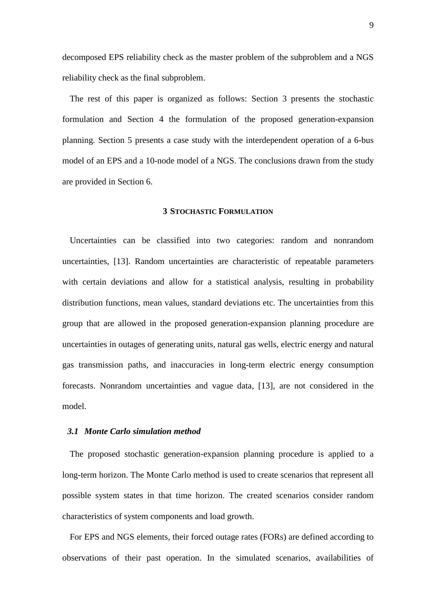decomposed EPS reliability check as the master problem of the subproblem and a NGS reliability check as the final subproblem.

The rest of this paper is organized as follows: Section [3](#page-8-0) presents the stochastic formulation and Section [4](#page-11-0) the formulation of the proposed generation-expansion planning. Section [5](#page-16-0) presents a case study with the interdependent operation of a 6-bus model of an EPS and a 10-node model of a NGS. The conclusions drawn from the study are provided in Section [6.](#page-20-1)

#### **3 STOCHASTIC FORMULATION**

<span id="page-8-0"></span>Uncertainties can be classified into two categories: random and nonrandom uncertainties, [\[13\].](#page-22-3) Random uncertainties are characteristic of repeatable parameters with certain deviations and allow for a statistical analysis, resulting in probability distribution functions, mean values, standard deviations etc. The uncertainties from this group that are allowed in the proposed generation-expansion planning procedure are uncertainties in outages of generating units, natural gas wells, electric energy and natural gas transmission paths, and inaccuracies in long-term electric energy consumption forecasts. Nonrandom uncertainties and vague data, [\[13\],](#page-22-3) are not considered in the model.

#### *3.1 Monte Carlo simulation method*

The proposed stochastic generation-expansion planning procedure is applied to a long-term horizon. The Monte Carlo method is used to create scenarios that represent all possible system states in that time horizon. The created scenarios consider random characteristics of system components and load growth.

For EPS and NGS elements, their forced outage rates (FORs) are defined according to observations of their past operation. In the simulated scenarios, availabilities of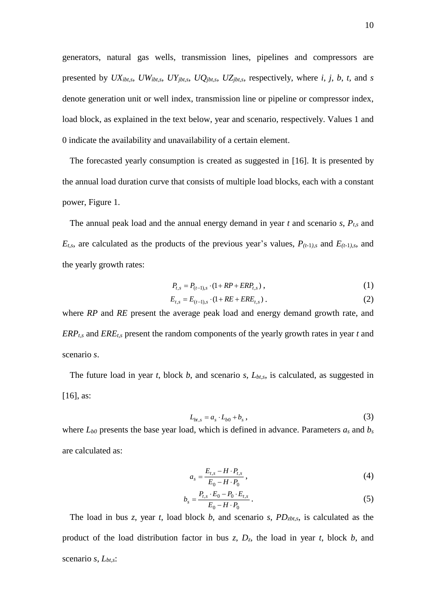generators, natural gas wells, transmission lines, pipelines and compressors are presented by *UXibt,s*, *UWibt,s*, *UYjbt,s*, *UQjbt,s*, *UZjbt,s*, respectively, where *i*, *j*, *b*, *t*, and *s* denote generation unit or well index, transmission line or pipeline or compressor index, load block, as explained in the text below, year and scenario, respectively. Values 1 and 0 indicate the availability and unavailability of a certain element.

The forecasted yearly consumption is created as suggested in [\[16\].](#page-22-6) It is presented by the annual load duration curve that consists of multiple load blocks, each with a constant power, Figure 1.

The annual peak load and the annual energy demand in year *t* and scenario *s*, *Pt*,*<sup>s</sup>* and  $E$ <sup>*t*</sup>,*s*, are calculated as the products of the previous year's values,  $P$ <sup>(t-1</sup>),*s* and  $E$ <sup>(t-1</sup>),*s*, and the yearly growth rates:

$$
P_{t,s} = P_{(t-1),s} \cdot (1 + RP + ERP_{t,s}) \,, \tag{1}
$$

$$
E_{t,s} = E_{(t-1),s} \cdot (1 + RE + ERE_{t,s}) \tag{2}
$$

where *RP* and *RE* present the average peak load and energy demand growth rate, and *ERPt,s* and *EREt,s* present the random components of the yearly growth rates in year *t* and scenario *s*.

The future load in year *t*, block *b*, and scenario *s*, *Lbt,s*, is calculated, as suggested in [\[16\],](#page-22-6) as:

$$
L_{bt,s} = a_s \cdot L_{b0} + b_s \,, \tag{3}
$$

where  $L_{b0}$  presents the base year load, which is defined in advance. Parameters  $a_s$  and  $b_s$ are calculated as:

$$
a_{s} = \frac{E_{t,s} - H \cdot P_{t,s}}{E_{0} - H \cdot P_{0}}\,,\tag{4}
$$

$$
b_s = \frac{P_{t,s} \cdot E_0 - P_0 \cdot E_{t,s}}{E_0 - H \cdot P_0}.
$$
\n(5)

The load in bus *z*, year *t*, load block *b*, and scenario *s*, *PDzbt,s*, is calculated as the product of the load distribution factor in bus *z*, *Dz*, the load in year *t*, block *b*, and scenario *s*, *Lbt,s*: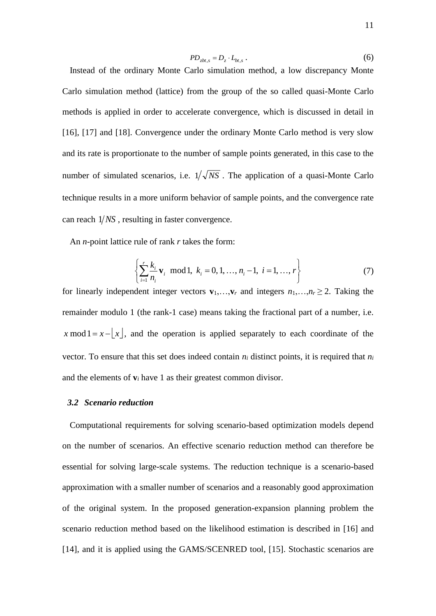$$
PD_{zbt,s} = D_z \cdot L_{bt,s}.
$$
 (6)  
Instead of the ordinary Monte Carlo simulation method, a low discrepancy Monte Carlo simulation method (lattice) from the group of the so called quasi-Monte Carlo methods is applied in order to accelerate convergence, which is discussed in detail in [16], [17] and [18]. Convergence under the ordinary Monte Carlo method is very slow and its rate is proportionate to the number of sample points generated, in this case to the number of simulated scenarios, i.e.  $1/\sqrt{NS}$ . The application of a quasi-Monte Carlo technique results in a more uniform behavior of sample points, and the convergence rate can reach  $1/NS$ , resulting in faster convergence.

An *n*-point lattice rule of rank *r* takes the form:

$$
\left\{\sum_{i=1}^{r} \frac{k_i}{n_i} \mathbf{v}_i \mod 1, \ k_i = 0, 1, ..., n_i - 1, \ i = 1, ..., r \right\}
$$
 (7)

for linearly independent integer vectors  $\mathbf{v}_1, \ldots, \mathbf{v}_r$  and integers  $n_1, \ldots, n_r \geq 2$ . Taking the remainder modulo 1 (the rank-1 case) means taking the fractional part of a number, i.e. *x* mod  $1 = x - \lfloor x \rfloor$ , and the operation is applied separately to each coordinate of the vector. To ensure that this set does indeed contain  $n_i$  distinct points, it is required that  $n_i$ and the elements of  $v_i$  have 1 as their greatest common divisor.

#### *3.2 Scenario reduction*

Computational requirements for solving scenario-based optimization models depend on the number of scenarios. An effective scenario reduction method can therefore be essential for solving large-scale systems. The reduction technique is a scenario-based approximation with a smaller number of scenarios and a reasonably good approximation of the original system. In the proposed generation-expansion planning problem the scenario reduction method based on the likelihood estimation is described in [\[16\]](#page-22-6) and [\[14\],](#page-22-4) and it is applied using the GAMS/SCENRED tool, [\[15\].](#page-22-5) Stochastic scenarios are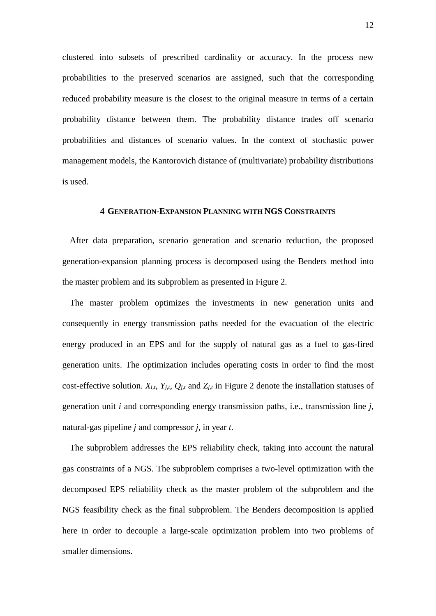clustered into subsets of prescribed cardinality or accuracy. In the process new probabilities to the preserved scenarios are assigned, such that the corresponding reduced probability measure is the closest to the original measure in terms of a certain probability distance between them. The probability distance trades off scenario probabilities and distances of scenario values. In the context of stochastic power management models, the Kantorovich distance of (multivariate) probability distributions is used.

#### **4 GENERATION-EXPANSION PLANNING WITH NGS CONSTRAINTS**

<span id="page-11-0"></span>After data preparation, scenario generation and scenario reduction, the proposed generation-expansion planning process is decomposed using the Benders method into the master problem and its subproblem as presented in Figure 2.

The master problem optimizes the investments in new generation units and consequently in energy transmission paths needed for the evacuation of the electric energy produced in an EPS and for the supply of natural gas as a fuel to gas-fired generation units. The optimization includes operating costs in order to find the most cost-effective solution.  $X_{i,t}$ ,  $Y_{j,t}$ ,  $Q_{j,t}$  and  $Z_{j,t}$  in Figure 2 denote the installation statuses of generation unit *i* and corresponding energy transmission paths, i.e., transmission line *j*, natural-gas pipeline *j* and compressor *j*, in year *t*.

The subproblem addresses the EPS reliability check, taking into account the natural gas constraints of a NGS. The subproblem comprises a two-level optimization with the decomposed EPS reliability check as the master problem of the subproblem and the NGS feasibility check as the final subproblem. The Benders decomposition is applied here in order to decouple a large-scale optimization problem into two problems of smaller dimensions.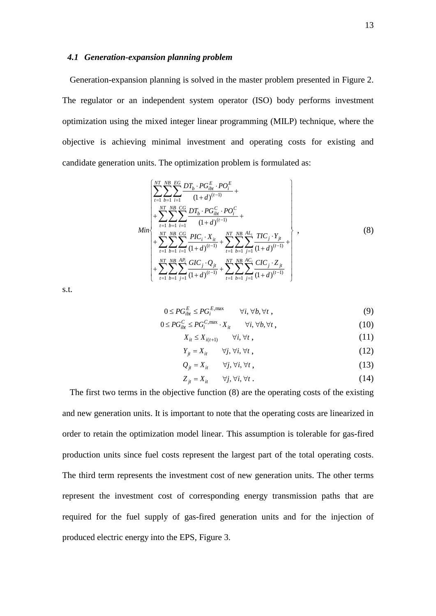#### *4.1 Generation-expansion planning problem*

Generation-expansion planning is solved in the master problem presented in Figure 2. The regulator or an independent system operator (ISO) body performs investment optimization using the mixed integer linear programming (MILP) technique, where the objective is achieving minimal investment and operating costs for existing and candidate generation units. The optimization problem is formulated as:

$$
\begin{bmatrix}\n\sum_{t=1}^{NT} \sum_{b=1}^{NB} \sum_{i=1}^{EG} DT_b \cdot PG_{ibt}^E \cdot PO_i^E \\
+ \sum_{t=1}^{NT} \sum_{b=1}^{NB} \sum_{i=1}^{GG} DT_b \cdot PG_{ibt}^C \cdot PO_i^C \\
+ \sum_{t=1}^{NT} \sum_{b=1}^{NB} \sum_{i=1}^{GG} \frac{DI_c \cdot X_{it}}{(1+d)^{(t-1)}} + \sum_{t=1}^{NT} \sum_{b=1}^{NB} \frac{AI_i}{(1+d)^{(t-1)}} + \sum_{t=1}^{NT} \sum_{b=1}^{NB} \sum_{j=1}^{AI_i} \frac{TIC_j \cdot Y_{jt}}{(1+d)^{(t-1)}} + \sum_{t=1}^{NT} \sum_{b=1}^{NB} \frac{AC_i}{j-1} \frac{CIC_j \cdot Z_{jt}}{(1+d)^{(t-1)}} + \sum_{t=1}^{NT} \sum_{b=1}^{NB} \sum_{j=1}^{AC_i} \frac{CIC_j \cdot Z_{jt}}{(1+d)^{(t-1)}}\n\end{bmatrix},
$$
\n(8)

s.t.

$$
0 \le PG_{ibt}^E \le PG_i^{E,\max} \qquad \forall i, \forall b, \forall t,
$$
\n(9)

$$
0 \le PG_{ibt}^C \le PG_i^{C, \max} \cdot X_{it} \qquad \forall i, \forall b, \forall t,
$$
\n
$$
(10)
$$

$$
X_{it} \le X_{i(t+1)} \qquad \forall i, \forall t \tag{11}
$$

$$
Y_{jt} = X_{it} \qquad \forall j, \forall i, \forall t,
$$
\n
$$
(12)
$$

$$
Q_{jt} = X_{it} \qquad \forall j, \forall i, \forall t,
$$
\n
$$
(13)
$$

$$
Z_{jt} = X_{it} \qquad \forall j, \forall i, \forall t . \tag{14}
$$

The first two terms in the objective function (8) are the operating costs of the existing and new generation units. It is important to note that the operating costs are linearized in order to retain the optimization model linear. This assumption is tolerable for gas-fired production units since fuel costs represent the largest part of the total operating costs. The third term represents the investment cost of new generation units. The other terms represent the investment cost of corresponding energy transmission paths that are required for the fuel supply of gas-fired generation units and for the injection of produced electric energy into the EPS, Figure 3.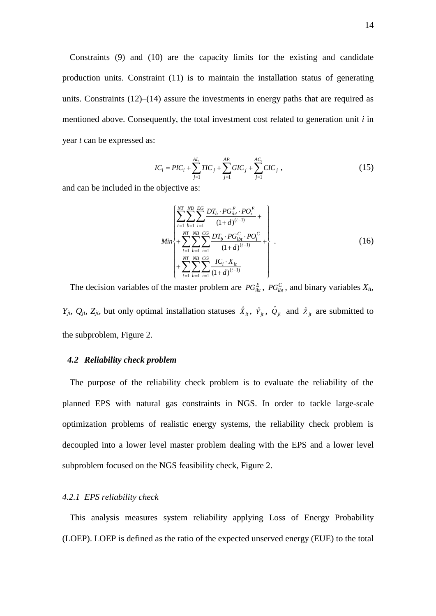Constraints (9) and (10) are the capacity limits for the existing and candidate production units. Constraint (11) is to maintain the installation status of generating units. Constraints (12)–(14) assure the investments in energy paths that are required as mentioned above. Consequently, the total investment cost related to generation unit *i* in year *t* can be expressed as:

$$
IC_i = PIC_i + \sum_{j=1}^{AL_i} TIC_j + \sum_{j=1}^{AP_i} GIC_j + \sum_{j=1}^{AC_i} CIC_j ,
$$
 (15)

and can be included in the objective as:

$$
Min \left\{ \sum_{t=1}^{NT} \sum_{b=1}^{NB} \sum_{i=1}^{EG} \frac{DT_b \cdot PG_{ibt}^E \cdot PO_i^E}{(1+d)^{(t-1)}} + \right\}
$$
  
\n
$$
Min \left\{ + \sum_{t=1}^{NT} \sum_{b=1}^{NB} \sum_{i=1}^{CG} \frac{DT_b \cdot PG_{ibt}^C \cdot PO_i^C}{(1+d)^{(t-1)}} + \right\}
$$
  
\n
$$
+ \sum_{t=1}^{NT} \sum_{b=1}^{NB} \sum_{i=1}^{CG} \frac{IC_i \cdot X_{it}}{(1+d)^{(t-1)}}
$$
\n(16)

The decision variables of the master problem are  $PG_{ibt}^E$ ,  $PG_{ibt}^C$ , and binary variables  $X_{it}$ , *Y*<sub>jt</sub>,  $Q_{jt}$ ,  $Z_{jt}$ , but only optimal installation statuses  $\hat{X}_{it}$ ,  $\hat{Y}_{jt}$ ,  $\hat{Q}_{jt}$  and  $\hat{Z}_{jt}$  are submitted to the subproblem, Figure 2.

## *4.2 Reliability check problem*

The purpose of the reliability check problem is to evaluate the reliability of the planned EPS with natural gas constraints in NGS. In order to tackle large-scale optimization problems of realistic energy systems, the reliability check problem is decoupled into a lower level master problem dealing with the EPS and a lower level subproblem focused on the NGS feasibility check, Figure 2.

#### *4.2.1 EPS reliability check*

This analysis measures system reliability applying Loss of Energy Probability (LOEP). LOEP is defined as the ratio of the expected unserved energy (EUE) to the total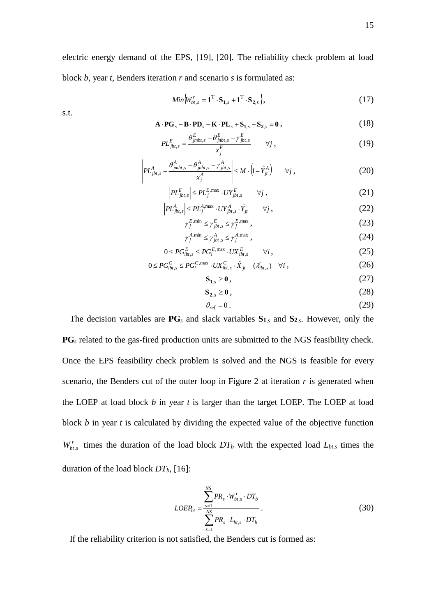electric energy demand of the EPS, [\[19\],](#page-22-9) [\[20\].](#page-23-0) The reliability check problem at load block *b*, year *t*, Benders iteration *r* and scenario *s* is formulated as:

$$
Min\Big\{W_{bt,s}^r = \mathbf{1}^{\mathrm{T}} \cdot \mathbf{S}_{1,s} + \mathbf{1}^{\mathrm{T}} \cdot \mathbf{S}_{2,s}\Big\},\tag{17}
$$

s.t.

$$
\mathbf{A} \cdot \mathbf{P} \mathbf{G}_s - \mathbf{B} \cdot \mathbf{P} \mathbf{D}_s - \mathbf{K} \cdot \mathbf{P} \mathbf{L}_s + \mathbf{S}_{1,s} - \mathbf{S}_{2,s} = \mathbf{0},\tag{18}
$$

$$
PL_{jbt,s}^{E} = \frac{\theta_{jmbt,s}^{E} - \theta_{jpt,s}^{E} - \gamma_{jbt,s}^{E}}{x_{j}^{E}} \qquad \forall j,
$$
 (19)

$$
\left| PL_{jbt,s}^{A} - \frac{\theta_{jmbt,s}^{A} - \theta_{jmbt,s}^{A} - \gamma_{jbt,s}^{A}}{x_{j}^{A}} \right| \leq M \cdot \left( 1 - \hat{Y}_{jt}^{A} \right) \qquad \forall j,
$$
\n(20)

$$
\left| PL_{jbt,s}^{E} \right| \leq PL_{j}^{E,\max} \cdot UY_{jbt,s}^{E} \qquad \forall j \tag{21}
$$

$$
\left| PL_{jbt,s}^{A} \right| \leq PL_{j}^{A,\max} \cdot UY_{jbt,s}^{A} \cdot \hat{Y}_{jt} \qquad \forall j,
$$
\n(22)

$$
\gamma_j^{E,\min} \le \gamma_{jbt,s}^E \le \gamma_j^{E,\max},\tag{23}
$$

$$
\gamma_j^{A,\min} \le \gamma_{jbt,s}^A \le \gamma_j^{A,\max} \,,\tag{24}
$$

$$
0 \le PG_{ibt,s}^E \le PG_i^{E,\max} \cdot UX_{ibt,s}^E \qquad \forall i,
$$
\n(25)

$$
0 \le PG_{ibt,s}^C \le PG_i^{C,\max} \cdot UX_{ibt,s}^C \cdot \hat{X}_{jt} \quad (\lambda_{ibt,s}') \quad \forall i,
$$
\n(26)

$$
\mathbf{S}_{1,s} \ge \mathbf{0},\tag{27}
$$

$$
\mathbf{S}_{2,s} \ge \mathbf{0} \,,\tag{28}
$$

$$
\theta_{ref} = 0. \tag{29}
$$

The decision variables are **PG***<sup>s</sup>* and slack variables **S<sup>1</sup>**,*<sup>s</sup>* and **S<sup>2</sup>**,*s*. However, only the **PG***<sup>s</sup>* related to the gas-fired production units are submitted to the NGS feasibility check. Once the EPS feasibility check problem is solved and the NGS is feasible for every scenario, the Benders cut of the outer loop in Figure 2 at iteration *r* is generated when the LOEP at load block *b* in year *t* is larger than the target LOEP. The LOEP at load block *b* in year *t* is calculated by dividing the expected value of the objective function  $W_{bt,s}^r$  times the duration of the load block  $DT_b$  with the expected load  $L_{bt,s}$  times the duration of the load block *DTb*, [\[16\]:](#page-22-6)

$$
LOEP_{bt} = \frac{\sum_{s=1}^{NS} PR_s \cdot W_{bt,s}^r \cdot DT_b}{\sum_{s=1}^{NS} PR_s \cdot L_{bt,s} \cdot DT_b}.
$$
 (30)

If the reliability criterion is not satisfied, the Benders cut is formed as: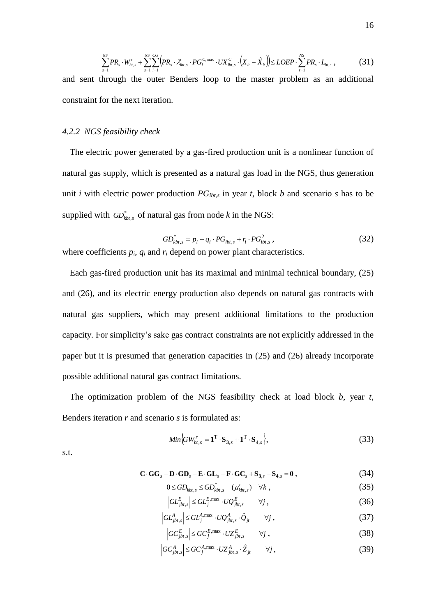$$
\sum_{s=1}^{NS} PR_s \cdot W_{bt,s}^r + \sum_{s=1}^{NS} \sum_{i=1}^{CG} \Big( PR_s \cdot \lambda_{ibt,s}^r \cdot PG_i^{C,\max} \cdot UX_{ibt,s}^C \cdot \Big( X_{it} - \hat{X}_{it} \Big) \Big) \leq LOEP \cdot \sum_{s=1}^{NS} PR_s \cdot L_{bt,s} \,, \tag{31}
$$

and sent through the outer Benders loop to the master problem as an additional constraint for the next iteration.

#### *4.2.2 NGS feasibility check*

The electric power generated by a gas-fired production unit is a nonlinear function of natural gas supply, which is presented as a natural gas load in the NGS, thus generation unit *i* with electric power production  $PG_{ibt,s}$  in year *t*, block *b* and scenario *s* has to be supplied with  $GD^*_{kbt,s}$  of natural gas from node *k* in the NGS:

$$
GD_{kbt,s}^* = p_i + q_i \cdot PG_{ibt,s} + r_i \cdot PG_{ibt,s}^2 \,, \tag{32}
$$

where coefficients  $p_i$ ,  $q_i$  and  $r_i$  depend on power plant characteristics.

Each gas-fired production unit has its maximal and minimal technical boundary, (25) and (26), and its electric energy production also depends on natural gas contracts with natural gas suppliers, which may present additional limitations to the production capacity. For simplicity's sake gas contract constraints are not explicitly addressed in the paper but it is presumed that generation capacities in (25) and (26) already incorporate possible additional natural gas contract limitations.

The optimization problem of the NGS feasibility check at load block *b*, year *t*, Benders iteration *r* and scenario *s* is formulated as:

$$
Min\Big\{GW_{bt,s}^r = \mathbf{1}^{\mathrm{T}} \cdot \mathbf{S}_{\mathbf{3},s} + \mathbf{1}^{\mathrm{T}} \cdot \mathbf{S}_{\mathbf{4},s} \Big\},\tag{33}
$$

s.t.

$$
\mathbf{C} \cdot \mathbf{G} \mathbf{G}_s - \mathbf{D} \cdot \mathbf{G} \mathbf{D}_s - \mathbf{E} \cdot \mathbf{G} \mathbf{L}_s - \mathbf{F} \cdot \mathbf{G} \mathbf{C}_s + \mathbf{S}_{3,s} - \mathbf{S}_{4,s} = \mathbf{0},\tag{34}
$$

$$
0 \leq GD_{kbt,s} \leq GD_{kbt,s}^* \quad (\mu_{kbt,s}^r) \quad \forall k \tag{35}
$$

$$
\left| GL_{jbt,s}^E \right| \leq GL_j^{E,\max} \cdot UQ_{jbt,s}^E \qquad \forall j,
$$
\n(36)

$$
\left| GL_{jbt,s}^A \right| \leq GL_j^{A,\max} \cdot UQ_{jbt,s}^A \cdot \hat{Q}_{jt} \qquad \forall j,
$$
\n(37)

$$
\left|GC_{jbt,s}^{E}\right| \leq GC_{j}^{E,\max} \cdot UZ_{jbt,s}^{E} \qquad \forall j,
$$
\n(38)

$$
\left|GC_{jbt,s}^A\right| \leq GC_j^{A,\max} \cdot UZ_{jbt,s}^A \cdot \hat{Z}_{jt} \qquad \forall j,
$$
\n(39)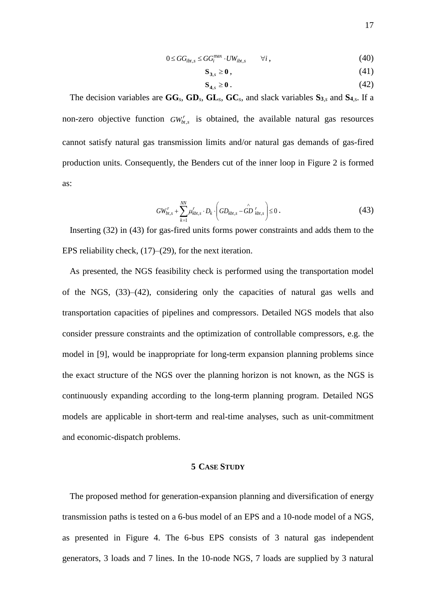$$
0 \le GG_{ibt,s} \le GG_i^{\max} \cdot UW_{ibt,s} \qquad \forall i,
$$
\n
$$
(40)
$$

$$
\mathbf{S}_{3,s} \ge \mathbf{0} \,,\tag{41}
$$

$$
\mathbf{S}_{4,s} \ge \mathbf{0} \,. \tag{42}
$$

The decision variables are **GG***s*, **GD***s*, **GL***s*, **GC***s*, and slack variables **S<sup>3</sup>**,*<sup>s</sup>* and **S<sup>4</sup>**,s. If a non-zero objective function  $GW<sub>b</sub><sub>t,s</sub>$  is obtained, the available natural gas resources cannot satisfy natural gas transmission limits and/or natural gas demands of gas-fired production units. Consequently, the Benders cut of the inner loop in Figure 2 is formed as:

$$
GW_{bt,s}^r + \sum_{k=1}^{NN} \mu_{kbt,s}^r \cdot D_k \cdot \left(GD_{kbt,s} - \hat{GD}_{kbt,s}^r\right) \le 0.
$$
 (43)

Inserting (32) in (43) for gas-fired units forms power constraints and adds them to the EPS reliability check, (17)–(29), for the next iteration.

As presented, the NGS feasibility check is performed using the transportation model of the NGS, (33)–(42), considering only the capacities of natural gas wells and transportation capacities of pipelines and compressors. Detailed NGS models that also consider pressure constraints and the optimization of controllable compressors, e.g. the model in [\[9\],](#page-21-7) would be inappropriate for long-term expansion planning problems since the exact structure of the NGS over the planning horizon is not known, as the NGS is continuously expanding according to the long-term planning program. Detailed NGS models are applicable in short-term and real-time analyses, such as unit-commitment and economic-dispatch problems.

#### **5 CASE STUDY**

<span id="page-16-0"></span>The proposed method for generation-expansion planning and diversification of energy transmission paths is tested on a 6-bus model of an EPS and a 10-node model of a NGS, as presented in Figure 4. The 6-bus EPS consists of 3 natural gas independent generators, 3 loads and 7 lines. In the 10-node NGS, 7 loads are supplied by 3 natural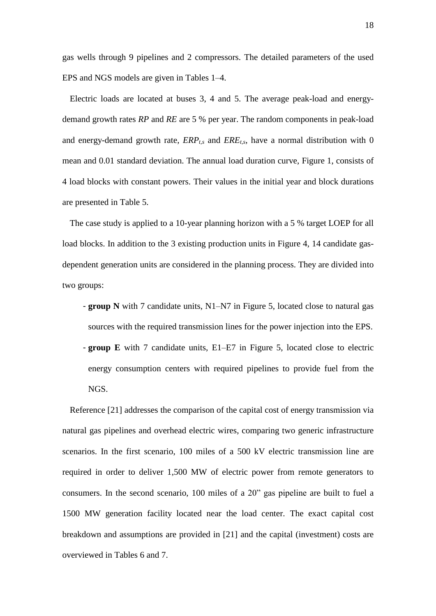gas wells through 9 pipelines and 2 compressors. The detailed parameters of the used EPS and NGS models are given in Tables 1–4.

Electric loads are located at buses 3, 4 and 5. The average peak-load and energydemand growth rates *RP* and *RE* are 5 % per year. The random components in peak-load and energy-demand growth rate,  $ERP_{ts}$  and  $ERE_{ts}$ , have a normal distribution with 0 mean and 0.01 standard deviation. The annual load duration curve, Figure 1, consists of 4 load blocks with constant powers. Their values in the initial year and block durations are presented in Table 5.

The case study is applied to a 10-year planning horizon with a 5 % target LOEP for all load blocks. In addition to the 3 existing production units in Figure 4, 14 candidate gasdependent generation units are considered in the planning process. They are divided into two groups:

- **group N** with 7 candidate units, N1–N7 in [Figure 5,](#page-24-0) located close to natural gas sources with the required transmission lines for the power injection into the EPS. - **group E** with 7 candidate units, E1–E7 in [Figure 5,](#page-24-0) located close to electric energy consumption centers with required pipelines to provide fuel from the NGS.

Reference [21] addresses the comparison of the capital cost of energy transmission via natural gas pipelines and overhead electric wires, comparing two generic infrastructure scenarios. In the first scenario, 100 miles of a 500 kV electric transmission line are required in order to deliver 1,500 MW of electric power from remote generators to consumers. In the second scenario, 100 miles of a 20" gas pipeline are built to fuel a 1500 MW generation facility located near the load center. The exact capital cost breakdown and assumptions are provided in [21] and the capital (investment) costs are overviewed in Tables 6 and 7.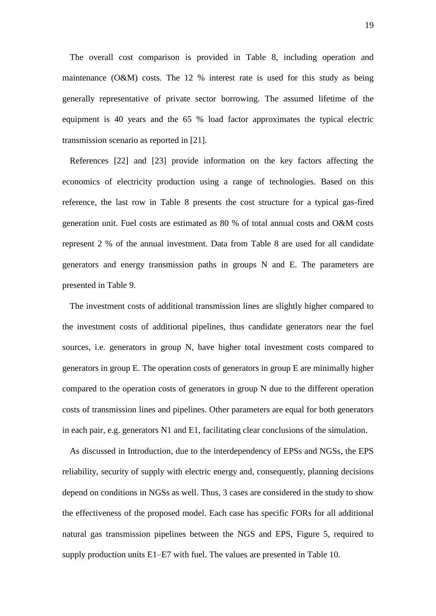The overall cost comparison is provided in Table 8, including operation and maintenance (O&M) costs. The 12 % interest rate is used for this study as being generally representative of private sector borrowing. The assumed lifetime of the equipment is 40 years and the 65 % load factor approximates the typical electric transmission scenario as reported in [21].

References [22] and [23] provide information on the key factors affecting the economics of electricity production using a range of technologies. Based on this reference, the last row in Table 8 presents the cost structure for a typical gas-fired generation unit. Fuel costs are estimated as 80 % of total annual costs and O&M costs represent 2 % of the annual investment. Data from Table 8 are used for all candidate generators and energy transmission paths in groups N and E. The parameters are presented in Table 9.

The investment costs of additional transmission lines are slightly higher compared to the investment costs of additional pipelines, thus candidate generators near the fuel sources, i.e. generators in group N, have higher total investment costs compared to generators in group E. The operation costs of generators in group E are minimally higher compared to the operation costs of generators in group N due to the different operation costs of transmission lines and pipelines. Other parameters are equal for both generators in each pair, e.g. generators N1 and E1, facilitating clear conclusions of the simulation.

As discussed in Introduction, due to the interdependency of EPSs and NGSs, the EPS reliability, security of supply with electric energy and, consequently, planning decisions depend on conditions in NGSs as well. Thus, 3 cases are considered in the study to show the effectiveness of the proposed model. Each case has specific FORs for all additional natural gas transmission pipelines between the NGS and EPS, Figure 5, required to supply production units E1–E7 with fuel. The values are presented in Table 10.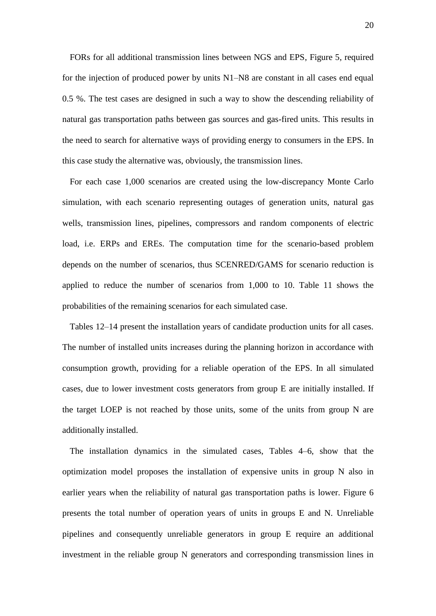FORs for all additional transmission lines between NGS and EPS, Figure 5, required for the injection of produced power by units N1–N8 are constant in all cases end equal 0.5 %. The test cases are designed in such a way to show the descending reliability of natural gas transportation paths between gas sources and gas-fired units. This results in the need to search for alternative ways of providing energy to consumers in the EPS. In this case study the alternative was, obviously, the transmission lines.

For each case 1,000 scenarios are created using the low-discrepancy Monte Carlo simulation, with each scenario representing outages of generation units, natural gas wells, transmission lines, pipelines, compressors and random components of electric load, i.e. ERPs and EREs. The computation time for the scenario-based problem depends on the number of scenarios, thus SCENRED/GAMS for scenario reduction is applied to reduce the number of scenarios from 1,000 to 10. Table 11 shows the probabilities of the remaining scenarios for each simulated case.

Tables 12–14 present the installation years of candidate production units for all cases. The number of installed units increases during the planning horizon in accordance with consumption growth, providing for a reliable operation of the EPS. In all simulated cases, due to lower investment costs generators from group E are initially installed. If the target LOEP is not reached by those units, some of the units from group N are additionally installed.

The installation dynamics in the simulated cases, Tables 4–6, show that the optimization model proposes the installation of expensive units in group N also in earlier years when the reliability of natural gas transportation paths is lower. Figure 6 presents the total number of operation years of units in groups E and N. Unreliable pipelines and consequently unreliable generators in group E require an additional investment in the reliable group N generators and corresponding transmission lines in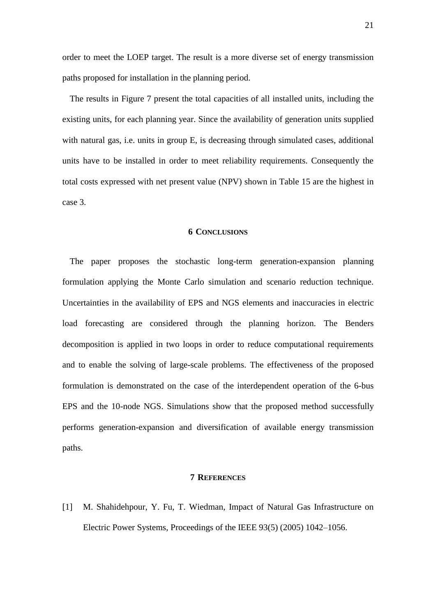order to meet the LOEP target. The result is a more diverse set of energy transmission paths proposed for installation in the planning period.

The results in Figure 7 present the total capacities of all installed units, including the existing units, for each planning year. Since the availability of generation units supplied with natural gas, i.e. units in group E, is decreasing through simulated cases, additional units have to be installed in order to meet reliability requirements. Consequently the total costs expressed with net present value (NPV) shown in Table 15 are the highest in case 3.

#### **6 CONCLUSIONS**

<span id="page-20-1"></span>The paper proposes the stochastic long-term generation-expansion planning formulation applying the Monte Carlo simulation and scenario reduction technique. Uncertainties in the availability of EPS and NGS elements and inaccuracies in electric load forecasting are considered through the planning horizon. The Benders decomposition is applied in two loops in order to reduce computational requirements and to enable the solving of large-scale problems. The effectiveness of the proposed formulation is demonstrated on the case of the interdependent operation of the 6-bus EPS and the 10-node NGS. Simulations show that the proposed method successfully performs generation-expansion and diversification of available energy transmission paths.

## **7 REFERENCES**

<span id="page-20-0"></span>[1] M. Shahidehpour, Y. Fu, T. Wiedman, Impact of Natural Gas Infrastructure on Electric Power Systems, Proceedings of the IEEE 93(5) (2005) 1042–1056.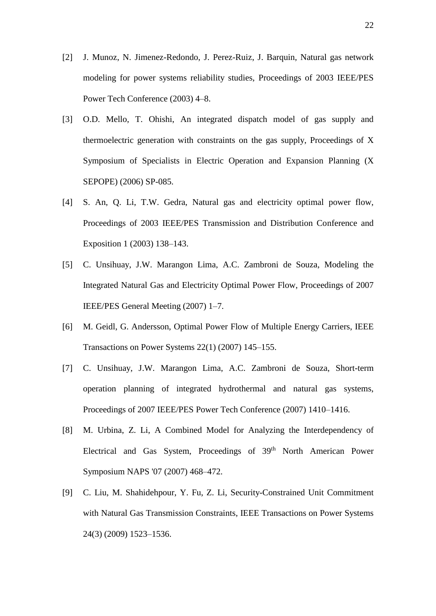- <span id="page-21-0"></span>[2] J. Munoz, N. Jimenez-Redondo, J. Perez-Ruiz, J. Barquin, Natural gas network modeling for power systems reliability studies, Proceedings of 2003 IEEE/PES Power Tech Conference (2003) 4–8.
- <span id="page-21-1"></span>[3] O.D. Mello, T. Ohishi, An integrated dispatch model of gas supply and thermoelectric generation with constraints on the gas supply, Proceedings of X Symposium of Specialists in Electric Operation and Expansion Planning (X SEPOPE) (2006) SP-085.
- <span id="page-21-2"></span>[4] S. An, Q. Li, T.W. Gedra, Natural gas and electricity optimal power flow, Proceedings of 2003 IEEE/PES Transmission and Distribution Conference and Exposition 1 (2003) 138–143.
- <span id="page-21-3"></span>[5] C. Unsihuay, J.W. Marangon Lima, A.C. Zambroni de Souza, Modeling the Integrated Natural Gas and Electricity Optimal Power Flow, Proceedings of 2007 IEEE/PES General Meeting (2007) 1–7.
- <span id="page-21-4"></span>[6] M. Geidl, G. Andersson, Optimal Power Flow of Multiple Energy Carriers, IEEE Transactions on Power Systems 22(1) (2007) 145–155.
- <span id="page-21-5"></span>[7] C. Unsihuay, J.W. Marangon Lima, A.C. Zambroni de Souza, Short-term operation planning of integrated hydrothermal and natural gas systems, Proceedings of 2007 IEEE/PES Power Tech Conference (2007) 1410–1416.
- <span id="page-21-6"></span>[8] M. Urbina, Z. Li, A Combined Model for Analyzing the Interdependency of Electrical and Gas System, Proceedings of 39<sup>th</sup> North American Power Symposium NAPS '07 (2007) 468–472.
- <span id="page-21-7"></span>[9] C. Liu, M. Shahidehpour, Y. Fu, Z. Li, Security-Constrained Unit Commitment with Natural Gas Transmission Constraints, IEEE Transactions on Power Systems 24(3) (2009) 1523–1536.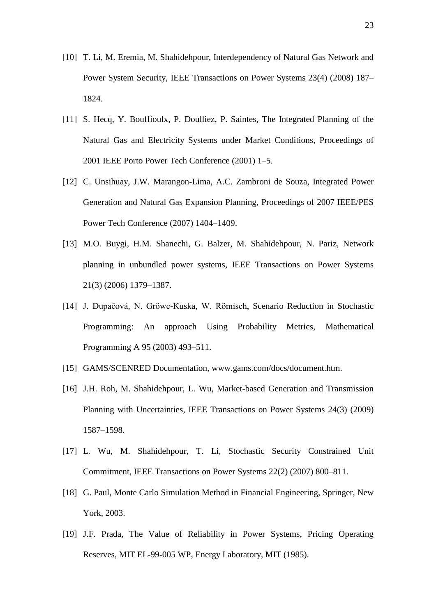- <span id="page-22-0"></span>[10] T. Li, M. Eremia, M. Shahidehpour, Interdependency of Natural Gas Network and Power System Security, IEEE Transactions on Power Systems 23(4) (2008) 187– 1824.
- <span id="page-22-1"></span>[11] S. Hecq, Y. Bouffioulx, P. Doulliez, P. Saintes, The Integrated Planning of the Natural Gas and Electricity Systems under Market Conditions, Proceedings of 2001 IEEE Porto Power Tech Conference (2001) 1–5.
- <span id="page-22-2"></span>[12] C. Unsihuay, J.W. Marangon-Lima, A.C. Zambroni de Souza, Integrated Power Generation and Natural Gas Expansion Planning, Proceedings of 2007 IEEE/PES Power Tech Conference (2007) 1404–1409.
- <span id="page-22-3"></span>[13] M.O. Buygi, H.M. Shanechi, G. Balzer, M. Shahidehpour, N. Pariz, Network planning in unbundled power systems, IEEE Transactions on Power Systems 21(3) (2006) 1379–1387.
- <span id="page-22-4"></span>[14] J. Dupačová, N. Gröwe-Kuska, W. Römisch, Scenario Reduction in Stochastic Programming: An approach Using Probability Metrics, Mathematical Programming A 95 (2003) 493–511.
- <span id="page-22-5"></span>[15] GAMS/SCENRED Documentation, www.gams.com/docs/document.htm.
- <span id="page-22-6"></span>[16] J.H. Roh, M. Shahidehpour, L. Wu, Market-based Generation and Transmission Planning with Uncertainties, IEEE Transactions on Power Systems 24(3) (2009) 1587–1598.
- <span id="page-22-7"></span>[17] L. Wu, M. Shahidehpour, T. Li, Stochastic Security Constrained Unit Commitment, IEEE Transactions on Power Systems 22(2) (2007) 800–811.
- <span id="page-22-8"></span>[18] G. Paul, Monte Carlo Simulation Method in Financial Engineering, Springer, New York, 2003.
- <span id="page-22-9"></span>[19] J.F. Prada, The Value of Reliability in Power Systems, Pricing Operating Reserves, MIT EL-99-005 WP, Energy Laboratory, MIT (1985).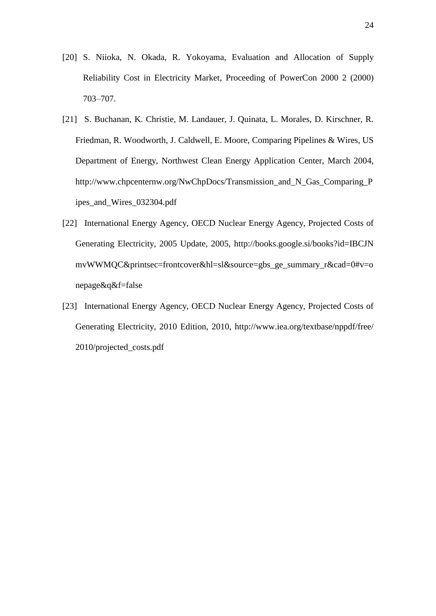- <span id="page-23-0"></span>[20] S. Niioka, N. Okada, R. Yokoyama, Evaluation and Allocation of Supply Reliability Cost in Electricity Market, Proceeding of PowerCon 2000 2 (2000) 703–707.
- [21] S. Buchanan, K. Christie, M. Landauer, J. Quinata, L. Morales, D. Kirschner, R. Friedman, R. Woodworth, J. Caldwell, E. Moore, Comparing Pipelines & Wires, US Department of Energy, Northwest Clean Energy Application Center, March 2004, [http://www.chpcenternw.org/NwChpDocs/Transmission\\_and\\_N\\_Gas\\_Comparing\\_P](http://www.chpcenternw.org/NwChpDocs/Transmission_and_N_Gas_Comparing_Pipes_and_Wires_032304.pdf) [ipes\\_and\\_Wires\\_032304.pdf](http://www.chpcenternw.org/NwChpDocs/Transmission_and_N_Gas_Comparing_Pipes_and_Wires_032304.pdf)
- [22] International Energy Agency, OECD Nuclear Energy Agency, Projected Costs of Generating Electricity, 2005 Update, 2005,<http://books.google.si/books?id=IBCJN> mvWWMQC&printsec=frontcover&hl=sl&source=gbs\_ge\_summary\_r&cad=0#v=o nepage&q&f=false
- [23] International Energy Agency, OECD Nuclear Energy Agency, Projected Costs of Generating Electricity, 2010 Edition, 2010,<http://www.iea.org/textbase/nppdf/free/> 2010/projected\_costs.pdf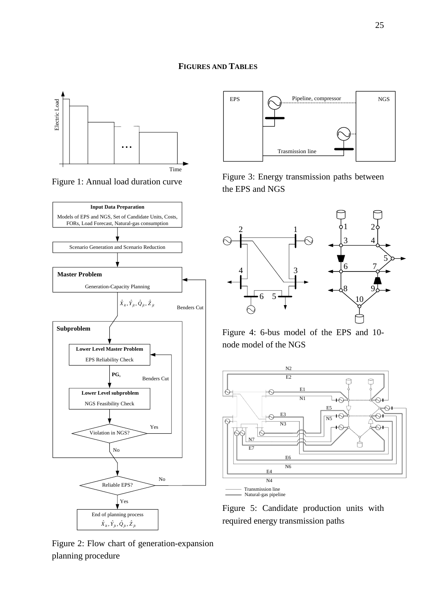

Figure 1: Annual load duration curve



Figure 2: Flow chart of generation-expansion planning procedure



Figure 3: Energy transmission paths between the EPS and NGS



Figure 4: 6-bus model of the EPS and 10 node model of the NGS



<span id="page-24-0"></span>Figure 5: Candidate production units with required energy transmission paths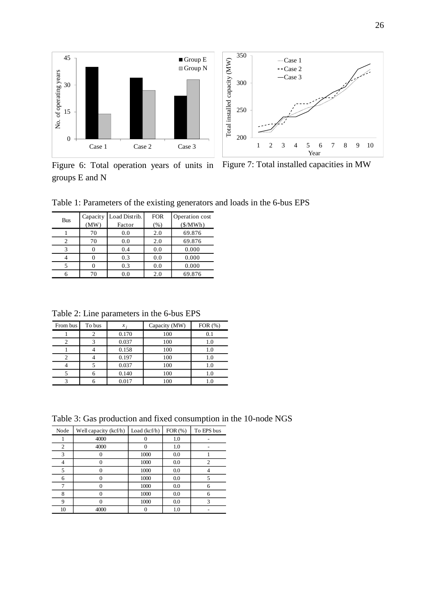

groups E and N

Figure 6: Total operation years of units in Figure 7: Total installed capacities in MW

Table 1: Parameters of the existing generators and loads in the 6-bus EPS

| <b>Bus</b> | Capacity<br>(MW) | Load Distrib.<br>Factor | <b>FOR</b><br>(% ) | Operation cost<br>(S/MWh) |
|------------|------------------|-------------------------|--------------------|---------------------------|
|            | 70               | 0.0                     | 2.0                | 69.876                    |
|            | 70               | 0.0                     | 2.0                | 69.876                    |
|            |                  | 0.4                     | 0.0                | 0.000                     |
|            |                  | 0.3                     | 0.0                | 0.000                     |
|            |                  | 0.3                     | 0.0                | 0.000                     |
|            | 70               | 0.0                     | 2.0                | 69.876                    |

Table 2: Line parameters in the 6-bus EPS

| From bus | To bus | x:    | Capacity (MW) | FOR $(\%)$ |
|----------|--------|-------|---------------|------------|
|          |        | 0.170 | 100           |            |
|          |        | 0.037 | 100           | 1.0        |
|          |        | 0.158 | 100           | 1.0        |
|          |        | 0.197 | 100           | 1.0        |
|          |        | 0.037 | 100           | 1.0        |
|          |        | 0.140 | 100           | 1.0        |
|          |        | 0.017 | 100           |            |

Table 3: Gas production and fixed consumption in the 10-node NGS

| FOR(%)<br>To EPS bus<br>Node<br>Load $(kcf/h)$<br>Well capacity (kcf/h)<br>4000<br>1.0<br>0<br>4000<br>2<br>1.0<br>0<br>3<br>1000<br>0.0<br>1000<br>2<br>0.0<br>4<br>5<br>1000<br>0.0<br>1000<br>0.0<br>6<br>┑<br>1000<br>0.0<br>6<br>1000<br>8<br>0.0<br>6<br>n<br>9<br>1000<br>3<br>0.0<br>10<br>4000<br>1.0 |  |  |  |
|----------------------------------------------------------------------------------------------------------------------------------------------------------------------------------------------------------------------------------------------------------------------------------------------------------------|--|--|--|
|                                                                                                                                                                                                                                                                                                                |  |  |  |
|                                                                                                                                                                                                                                                                                                                |  |  |  |
|                                                                                                                                                                                                                                                                                                                |  |  |  |
|                                                                                                                                                                                                                                                                                                                |  |  |  |
|                                                                                                                                                                                                                                                                                                                |  |  |  |
|                                                                                                                                                                                                                                                                                                                |  |  |  |
|                                                                                                                                                                                                                                                                                                                |  |  |  |
|                                                                                                                                                                                                                                                                                                                |  |  |  |
|                                                                                                                                                                                                                                                                                                                |  |  |  |
|                                                                                                                                                                                                                                                                                                                |  |  |  |
|                                                                                                                                                                                                                                                                                                                |  |  |  |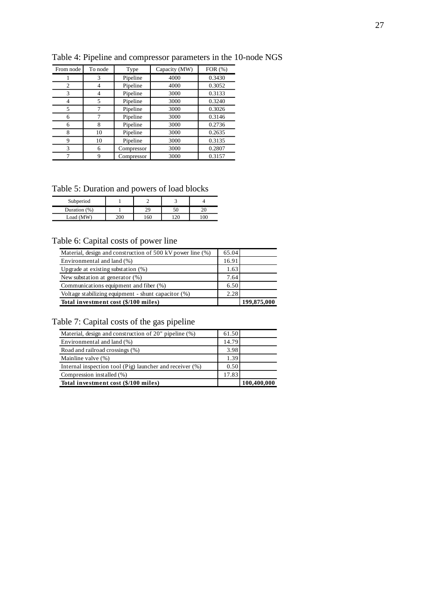| From node | To node | Type       | Capacity (MW) | FOR $(\% )$ |
|-----------|---------|------------|---------------|-------------|
|           | 3       | Pipeline   | 4000          | 0.3430      |
| 2         | 4       | Pipeline   | 4000          | 0.3052      |
| 3         | 4       | Pipeline   | 3000          | 0.3133      |
| 4         | 5       | Pipeline   | 3000          | 0.3240      |
| 5         |         | Pipeline   | 3000          | 0.3026      |
| 6         |         | Pipeline   | 3000          | 0.3146      |
| 6         | 8       | Pipeline   | 3000          | 0.2736      |
| 8         | 10      | Pipeline   | 3000          | 0.2635      |
| 9         | 10      | Pipeline   | 3000          | 0.3135      |
| 3         | 6       | Compressor | 3000          | 0.2807      |
|           | 9       | Compressor | 3000          | 0.3157      |

Table 4: Pipeline and compressor parameters in the 10-node NGS

Table 5: Duration and powers of load blocks

| - wore of a wrecent write point and or rower orders. |     |     |    |  |  |
|------------------------------------------------------|-----|-----|----|--|--|
| Subperiod                                            |     |     |    |  |  |
| Duration (%)                                         |     |     |    |  |  |
| Load (MW)                                            | 200 | 160 | 20 |  |  |

## Table 6: Capital costs of power line

| Material, design and construction of 500 kV power line (%) | 65.04 |             |
|------------------------------------------------------------|-------|-------------|
| Environmental and land (%)                                 | 16.91 |             |
| Upgrade at existing substation (%)                         | 1.63  |             |
| New substation at generator $(\%)$                         | 7.64  |             |
| Communications equipment and fiber (%)                     | 6.50  |             |
| Voltage stabilizing equipment - shunt capacitor (%)        | 2.28  |             |
| Total investment cost (\$/100 miles)                       |       | 199,875,000 |

Table 7: Capital costs of the gas pipeline

| Material, design and construction of 20" pipeline (%)    | 61.50 |             |
|----------------------------------------------------------|-------|-------------|
| Environmental and land (%)                               | 14.79 |             |
| Road and railroad crossings (%)                          | 3.98  |             |
| Mainline valve (%)                                       | 1.39  |             |
| Internal inspection tool (Pig) launcher and receiver (%) | 0.50  |             |
| Compression installed (%)                                | 17.83 |             |
| Total investment cost (\$/100 miles)                     |       | 100,400,000 |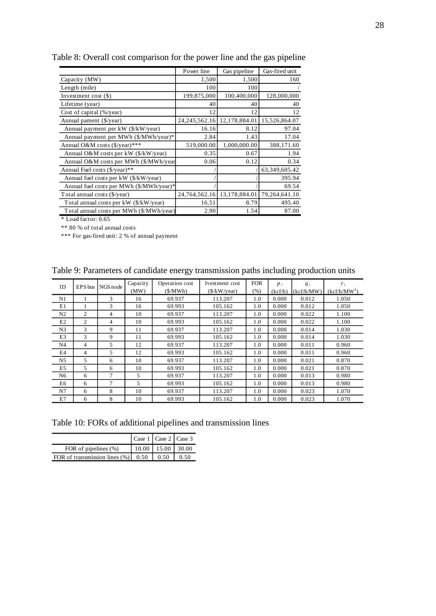|                                          | Power line       | Gas pipeline  | Gas-fired unit |
|------------------------------------------|------------------|---------------|----------------|
| Capacity (MW)                            | 1,500            | 1,500         | 160            |
| Length (mile)                            | 100              | 100           |                |
| Investment cost $(\$)$                   | 199,875,000      | 100,400,000   | 128,000,000    |
| Lifetime (year)                          | 40               | 40            | 40             |
| Cost of capital $(\frac{6}{y}$ ear)      | 12               | 12            | 12             |
| Annual pament (\$/year)                  | 24, 245, 562. 16 | 12,178,884.01 | 15,526,864.07  |
| Annual payment per kW (\$/kW/year)       | 16.16            | 8.12          | 97.04          |
| Annual payment per MWh (\$/MWh/year)*    | 2.84             | 1.43          | 17.04          |
| Annual O&M costs (\$/year)***            | 519,000.00       | 1,000,000.00  | 388,171.60     |
| Annual O&M costs per kW (\$/kW/year)     | 0.35             | 0.67          | 1.94           |
| Annual O&M costs per MWh (\$/MWh/year    | 0.06             | 0.12          | 0.34           |
| Annual Fuel costs $(\frac{6}{y}$ ear)**  |                  |               | 63,349,605.42  |
| Annual fuel costs per kW (\$/kW/year)    |                  |               | 395.94         |
| Annual fuel costs per MWh (\$/MWh/year)* |                  |               | 69.54          |
| Total annual costs (\$/year)             | 24,764,562.16    | 13,178,884.01 | 79,264,641.10  |
| Total annual costs per kW (\$/kW/year)   | 16.51            | 8.79          | 495.40         |
| Total annual costs per MWh (\$/MWh/year) | 2.90             | 1.54          | 87.00          |

Table 8: Overall cost comparison for the power line and the gas pipeline

\* Load factor: 0.65

\*\* 80 % of total annual costs

\*\*\* For gas-fired unit: 2 % of annual payment

| ID             | EPS bus | NGS node | Capacity | Operation cost | Ivestment cost | <b>FOR</b> | $p_i$   | $q_i$      | $r_i$                    |
|----------------|---------|----------|----------|----------------|----------------|------------|---------|------------|--------------------------|
|                |         |          | (MW)     | (S/MWh)        | (\$/kW/year)   | $(\% )$    | (kcf/h) | (kcf/h/MW) | (kcf/h/MW <sup>2</sup> ) |
| N1             |         | 3        | 16       | 69.937         | 113.207        | 1.0        | 0.000   | 0.012      | 1.050                    |
| E1             |         | 3        | 16       | 69.993         | 105.162        | 1.0        | 0.000   | 0.012      | 1.050                    |
| N <sub>2</sub> | 2       | 4        | 10       | 69.937         | 113.207        | 1.0        | 0.000   | 0.022      | 1.100                    |
| E2             | 2       | 4        | 10       | 69.993         | 105.162        | 1.0        | 0.000   | 0.022      | 1.100                    |
| N <sub>3</sub> | 3       | 9        | 11       | 69.937         | 113.207        | 1.0        | 0.000   | 0.014      | 1.030                    |
| E3             | 3       | 9        | 11       | 69.993         | 105.162        | 1.0        | 0.000   | 0.014      | 1.030                    |
| N <sub>4</sub> | 4       | 5        | 12       | 69.937         | 113.207        | 1.0        | 0.000   | 0.011      | 0.960                    |
| E4             | 4       | 5        | 12       | 69.993         | 105.162        | 1.0        | 0.000   | 0.011      | 0.960                    |
| N <sub>5</sub> | 5       | 6        | 10       | 69.937         | 113.207        | 1.0        | 0.000   | 0.021      | 0.870                    |
| E5             | 5.      | 6        | 10       | 69.993         | 105.162        | 1.0        | 0.000   | 0.021      | 0.870                    |
| N <sub>6</sub> | 6       | 7        | 5        | 69.937         | 113.207        | 1.0        | 0.000   | 0.013      | 0.980                    |
| E6             | 6       | 7        | 5        | 69.993         | 105.162        | 1.0        | 0.000   | 0.013      | 0.980                    |
| N7             | 6       | 8        | 10       | 69.937         | 113.207        | 1.0        | 0.000   | 0.023      | 1.070                    |
| E7             | 6       | 8        | 10       | 69.993         | 105.162        | 1.0        | 0.000   | 0.023      | 1.070                    |

Table 9: Parameters of candidate energy transmission paths including production units

Table 10: FORs of additional pipelines and transmission lines

|                                              | Case 1   Case 2   Case 3 |       |
|----------------------------------------------|--------------------------|-------|
| FOR of pipelines $(\%)$                      | $10.00$   15.00   30.00  |       |
| FOR of transmission lines $(\%)$ 0.50   0.50 |                          | 10.50 |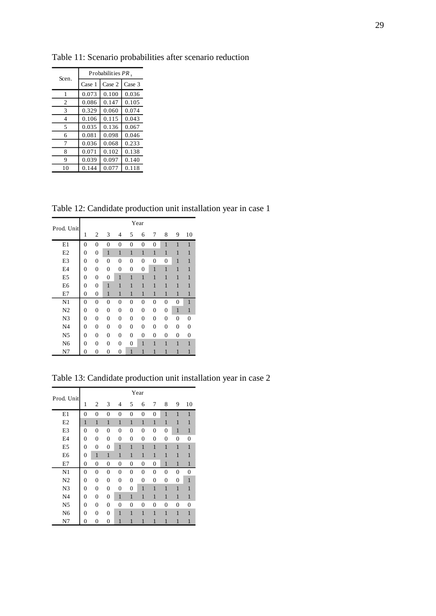| Scen.          | Probabilities PR. |        |        |  |  |  |  |  |
|----------------|-------------------|--------|--------|--|--|--|--|--|
|                | Case 1            | Case 2 | Case 3 |  |  |  |  |  |
| 1              | 0.073             | 0.100  | 0.036  |  |  |  |  |  |
| $\mathfrak{2}$ | 0.086             | 0.147  | 0.105  |  |  |  |  |  |
| 3              | 0.329             | 0.060  | 0.074  |  |  |  |  |  |
| 4              | 0.106             | 0.115  | 0.043  |  |  |  |  |  |
| 5              | 0.035             | 0.136  | 0.067  |  |  |  |  |  |
| 6              | 0.081             | 0.098  | 0.046  |  |  |  |  |  |
| 7              | 0.036             | 0.068  | 0.233  |  |  |  |  |  |
| 8              | 0.071             | 0.102  | 0.138  |  |  |  |  |  |
| 9              | 0.039             | 0.097  | 0.140  |  |  |  |  |  |
| 10             | 0.144             | 0.077  | 0.118  |  |  |  |  |  |

Table 11: Scenario probabilities after scenario reduction

Table 12: Candidate production unit installation year in case 1

| Prod. Unit     |                |                  |                  |                  |                  | Year             |                |                |                |                |
|----------------|----------------|------------------|------------------|------------------|------------------|------------------|----------------|----------------|----------------|----------------|
|                | 1              | 2                | 3                | 4                | 5                | 6                | 7              | 8              | 9              | 10             |
| E1             | 0              | $\overline{0}$   | $\overline{0}$   | $\overline{0}$   | $\overline{0}$   | $\overline{0}$   | $\overline{0}$ | $\mathbf{1}$   | $\mathbf{1}$   | $\mathbf{1}$   |
| E2             | 0              | 0                | 1                | $\mathbf{1}$     | $\mathbf{1}$     | $\mathbf{1}$     | $\mathbf{1}$   | $\mathbf{1}$   | 1              | 1              |
| E <sub>3</sub> | 0              | 0                | $\overline{0}$   | $\overline{0}$   | $\overline{0}$   | $\overline{0}$   | $\overline{0}$ | $\overline{0}$ | 1              | 1              |
| E <sub>4</sub> | 0              | 0                | 0                | $\boldsymbol{0}$ | $\boldsymbol{0}$ | $\boldsymbol{0}$ | $\mathbf{1}$   | $\mathbf{1}$   | 1              | 1              |
| E <sub>5</sub> | 0              | $\boldsymbol{0}$ | $\overline{0}$   | $\mathbf{1}$     | $\mathbf{1}$     | $\mathbf{1}$     | $\mathbf{1}$   | $\mathbf{1}$   | 1              | 1              |
| E <sub>6</sub> | 0              | 0                | 1                | 1                | 1                | $\mathbf{1}$     | $\mathbf{1}$   | $\mathbf{1}$   | 1              | 1              |
| E7             | 0              | 0                | 1                | 1                | 1                | 1                | 1              | 1              | 1              | 1              |
| N <sub>1</sub> | 0              | 0                | $\overline{0}$   | $\overline{0}$   | 0                | 0                | 0              | 0              | 0              | 1              |
| N <sub>2</sub> | 0              | $\boldsymbol{0}$ | $\boldsymbol{0}$ | 0                | 0                | 0                | 0              | 0              | $\mathbf{1}$   | $\mathbf{1}$   |
| N <sub>3</sub> | $\overline{0}$ | $\overline{0}$   | $\overline{0}$   | $\overline{0}$   | $\overline{0}$   | $\overline{0}$   | $\overline{0}$ | $\overline{0}$ | $\overline{0}$ | $\overline{0}$ |
| N <sub>4</sub> | 0              | 0                | 0                | $\overline{0}$   | $\overline{0}$   | $\overline{0}$   | $\overline{0}$ | $\overline{0}$ | $\overline{0}$ | $\overline{0}$ |
| N <sub>5</sub> | 0              | 0                | 0                | 0                | 0                | 0                | 0              | 0              | $\mathbf{0}$   | $\mathbf{0}$   |
| N <sub>6</sub> | 0              | 0                | 0                | 0                | $\boldsymbol{0}$ | 1                | $\mathbf{1}$   | $\mathbf{1}$   | 1              | 1              |
| N7             | 0              | 0                | 0                | $\overline{0}$   | 1                | 1                | 1              | 1              | 1              | 1              |

Table 13: Candidate production unit installation year in case 2

| Prod. Unit     |          |                  |                  |                  |                | Year           |                |                |              |                |
|----------------|----------|------------------|------------------|------------------|----------------|----------------|----------------|----------------|--------------|----------------|
|                | 1        | 2                | 3                | 4                | 5              | 6              | 7              | 8              | 9            | 10             |
| E1             | 0        | $\overline{0}$   | $\boldsymbol{0}$ | $\boldsymbol{0}$ | $\overline{0}$ | 0              | 0              | $\mathbf{1}$   | $\mathbf{1}$ | $\mathbf{1}$   |
| E2             | 1        | 1                | 1                | 1                | $\mathbf{1}$   | $\mathbf{1}$   | $\mathbf{1}$   | 1              | 1            | 1              |
| E3             | $\theta$ | $\Omega$         | $\Omega$         | 0                | 0              | 0              | 0              | $\theta$       | 1            | 1              |
| E4             | 0        | $\overline{0}$   | $\overline{0}$   | $\overline{0}$   | $\overline{0}$ | $\overline{0}$ | $\overline{0}$ | $\overline{0}$ | 0            | $\overline{0}$ |
| E <sub>5</sub> | 0        | $\overline{0}$   | $\overline{0}$   | 1                | 1              | 1              | 1              | 1              | 1            | 1              |
| E <sub>6</sub> | 0        | 1                | 1                | 1                | 1              | 1              | 1              | 1              | 1            | 1              |
| E7             | 0        | $\boldsymbol{0}$ | $\boldsymbol{0}$ | $\mathbf{0}$     | 0              | 0              | 0              | $\mathbf{1}$   | 1            | $\mathbf{1}$   |
| N1             | 0        | $\mathbf{0}$     | $\mathbf{0}$     | $\mathbf{0}$     | $\mathbf{0}$   | 0              | 0              | $\theta$       | $\theta$     | $\overline{0}$ |
| N <sub>2</sub> | 0        | $\mathbf{0}$     | $\overline{0}$   | $\overline{0}$   | $\overline{0}$ | 0              | $\overline{0}$ | $\overline{0}$ | 0            | $\mathbf{1}$   |
| N <sub>3</sub> | 0        | $\overline{0}$   | $\overline{0}$   | $\overline{0}$   | $\overline{0}$ | 1              | 1              | 1              | 1            | $\mathbf{1}$   |
| N <sub>4</sub> | 0        | $\overline{0}$   | $\overline{0}$   | 1                | $\mathbf{1}$   | 1              | 1              | $\mathbf{1}$   | $\mathbf{1}$ | 1              |
| N <sub>5</sub> | 0        | $\overline{0}$   | $\mathbf{0}$     | $\overline{0}$   | $\overline{0}$ | 0              | 0              | $\overline{0}$ | 0            | 0              |
| N <sub>6</sub> | 0        | $\theta$         | $\theta$         | 1                | 1              | 1              | 1              | 1              | 1            | $\mathbf{1}$   |
| N7             | 0        | 0                | 0                | 1                | 1              | 1              | 1              | $\mathbf{1}$   | 1            | $\mathbf{1}$   |